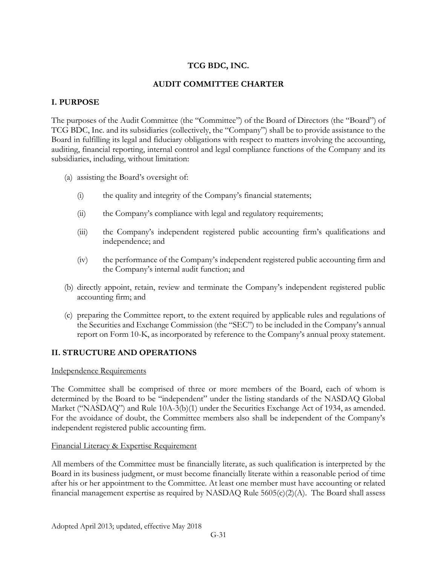## **TCG BDC, INC.**

## **AUDIT COMMITTEE CHARTER**

## **I. PURPOSE**

The purposes of the Audit Committee (the "Committee") of the Board of Directors (the "Board") of TCG BDC, Inc. and its subsidiaries (collectively, the "Company") shall be to provide assistance to the Board in fulfilling its legal and fiduciary obligations with respect to matters involving the accounting, auditing, financial reporting, internal control and legal compliance functions of the Company and its subsidiaries, including, without limitation:

- (a) assisting the Board's oversight of:
	- (i) the quality and integrity of the Company's financial statements;
	- (ii) the Company's compliance with legal and regulatory requirements;
	- (iii) the Company's independent registered public accounting firm's qualifications and independence; and
	- (iv) the performance of the Company's independent registered public accounting firm and the Company's internal audit function; and
- (b) directly appoint, retain, review and terminate the Company's independent registered public accounting firm; and
- (c) preparing the Committee report, to the extent required by applicable rules and regulations of the Securities and Exchange Commission (the "SEC") to be included in the Company's annual report on Form 10-K, as incorporated by reference to the Company's annual proxy statement.

#### **II. STRUCTURE AND OPERATIONS**

#### Independence Requirements

The Committee shall be comprised of three or more members of the Board, each of whom is determined by the Board to be "independent" under the listing standards of the NASDAQ Global Market ("NASDAQ") and Rule 10A-3(b)(1) under the Securities Exchange Act of 1934, as amended. For the avoidance of doubt, the Committee members also shall be independent of the Company's independent registered public accounting firm.

#### Financial Literacy & Expertise Requirement

All members of the Committee must be financially literate, as such qualification is interpreted by the Board in its business judgment, or must become financially literate within a reasonable period of time after his or her appointment to the Committee. At least one member must have accounting or related financial management expertise as required by NASDAQ Rule 5605(c)(2)(A). The Board shall assess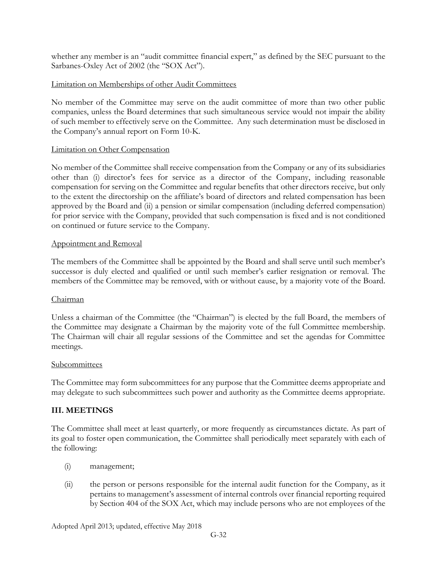whether any member is an "audit committee financial expert," as defined by the SEC pursuant to the Sarbanes-Oxley Act of 2002 (the "SOX Act").

## Limitation on Memberships of other Audit Committees

No member of the Committee may serve on the audit committee of more than two other public companies, unless the Board determines that such simultaneous service would not impair the ability of such member to effectively serve on the Committee. Any such determination must be disclosed in the Company's annual report on Form 10-K.

#### Limitation on Other Compensation

No member of the Committee shall receive compensation from the Company or any of its subsidiaries other than (i) director's fees for service as a director of the Company, including reasonable compensation for serving on the Committee and regular benefits that other directors receive, but only to the extent the directorship on the affiliate's board of directors and related compensation has been approved by the Board and (ii) a pension or similar compensation (including deferred compensation) for prior service with the Company, provided that such compensation is fixed and is not conditioned on continued or future service to the Company.

#### Appointment and Removal

The members of the Committee shall be appointed by the Board and shall serve until such member's successor is duly elected and qualified or until such member's earlier resignation or removal. The members of the Committee may be removed, with or without cause, by a majority vote of the Board.

#### Chairman

Unless a chairman of the Committee (the "Chairman") is elected by the full Board, the members of the Committee may designate a Chairman by the majority vote of the full Committee membership. The Chairman will chair all regular sessions of the Committee and set the agendas for Committee meetings.

#### Subcommittees

The Committee may form subcommittees for any purpose that the Committee deems appropriate and may delegate to such subcommittees such power and authority as the Committee deems appropriate.

#### **III. MEETINGS**

The Committee shall meet at least quarterly, or more frequently as circumstances dictate. As part of its goal to foster open communication, the Committee shall periodically meet separately with each of the following:

- (i) management;
- (ii) the person or persons responsible for the internal audit function for the Company, as it pertains to management's assessment of internal controls over financial reporting required by Section 404 of the SOX Act, which may include persons who are not employees of the

Adopted April 2013; updated, effective May 2018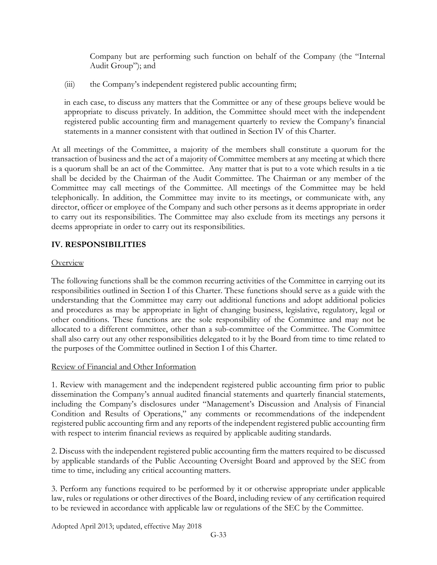Company but are performing such function on behalf of the Company (the "Internal Audit Group"); and

(iii) the Company's independent registered public accounting firm;

in each case, to discuss any matters that the Committee or any of these groups believe would be appropriate to discuss privately. In addition, the Committee should meet with the independent registered public accounting firm and management quarterly to review the Company's financial statements in a manner consistent with that outlined in Section IV of this Charter.

At all meetings of the Committee, a majority of the members shall constitute a quorum for the transaction of business and the act of a majority of Committee members at any meeting at which there is a quorum shall be an act of the Committee. Any matter that is put to a vote which results in a tie shall be decided by the Chairman of the Audit Committee. The Chairman or any member of the Committee may call meetings of the Committee. All meetings of the Committee may be held telephonically. In addition, the Committee may invite to its meetings, or communicate with, any director, officer or employee of the Company and such other persons as it deems appropriate in order to carry out its responsibilities. The Committee may also exclude from its meetings any persons it deems appropriate in order to carry out its responsibilities.

## **IV. RESPONSIBILITIES**

## **Overview**

The following functions shall be the common recurring activities of the Committee in carrying out its responsibilities outlined in Section I of this Charter. These functions should serve as a guide with the understanding that the Committee may carry out additional functions and adopt additional policies and procedures as may be appropriate in light of changing business, legislative, regulatory, legal or other conditions. These functions are the sole responsibility of the Committee and may not be allocated to a different committee, other than a sub-committee of the Committee. The Committee shall also carry out any other responsibilities delegated to it by the Board from time to time related to the purposes of the Committee outlined in Section I of this Charter.

## Review of Financial and Other Information

1. Review with management and the independent registered public accounting firm prior to public dissemination the Company's annual audited financial statements and quarterly financial statements, including the Company's disclosures under "Management's Discussion and Analysis of Financial Condition and Results of Operations," any comments or recommendations of the independent registered public accounting firm and any reports of the independent registered public accounting firm with respect to interim financial reviews as required by applicable auditing standards.

2. Discuss with the independent registered public accounting firm the matters required to be discussed by applicable standards of the Public Accounting Oversight Board and approved by the SEC from time to time, including any critical accounting matters.

3. Perform any functions required to be performed by it or otherwise appropriate under applicable law, rules or regulations or other directives of the Board, including review of any certification required to be reviewed in accordance with applicable law or regulations of the SEC by the Committee.

Adopted April 2013; updated, effective May 2018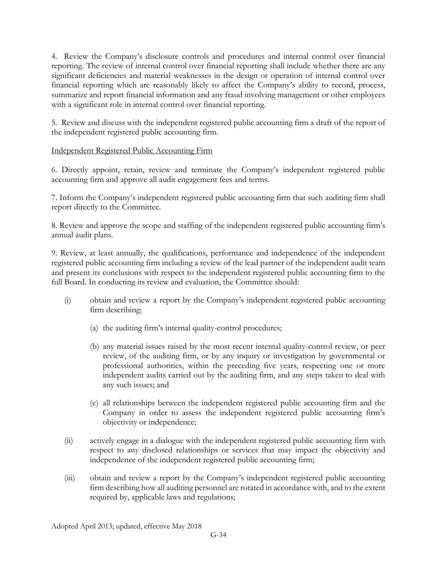4. Review the Company's disclosure controls and procedures and internal control over financial reporting. The review of internal control over financial reporting shall include whether there are any significant deficiencies and material weaknesses in the design or operation of internal control over financial reporting which are reasonably likely to affect the Company's ability to record, process, summarize and report financial information and any fraud involving management or other employees with a significant role in internal control over financial reporting.

5. Review and discuss with the independent registered public accounting firm a draft of the report of the independent registered public accounting firm.

## Independent Registered Public Accounting Firm

6. Directly appoint, retain, review and terminate the Company's independent registered public accounting firm and approve all audit engagement fees and terms.

7. Inform the Company's independent registered public accounting firm that such auditing firm shall report directly to the Committee.

8. Review and approve the scope and staffing of the independent registered public accounting firm's annual audit plans.

9. Review, at least annually, the qualifications, performance and independence of the independent registered public accounting firm including a review of the lead partner of the independent audit team and present its conclusions with respect to the independent registered public accounting firm to the full Board. In conducting its review and evaluation, the Committee should:

- (i) obtain and review a report by the Company's independent registered public accounting firm describing:
	- (a) the auditing firm's internal quality-control procedures;
	- (b) any material issues raised by the most recent internal quality-control review, or peer review, of the auditing firm, or by any inquiry or investigation by governmental or professional authorities, within the preceding five years, respecting one or more independent audits carried out by the auditing firm, and any steps taken to deal with any such issues; and
	- (c) all relationships between the independent registered public accounting firm and the Company in order to assess the independent registered public accounting firm's objectivity or independence;
- (ii) actively engage in a dialogue with the independent registered public accounting firm with respect to any disclosed relationships or services that may impact the objectivity and independence of the independent registered public accounting firm;
- (iii) obtain and review a report by the Company's independent registered public accounting firm describing how all auditing personnel are rotated in accordance with, and to the extent required by, applicable laws and regulations;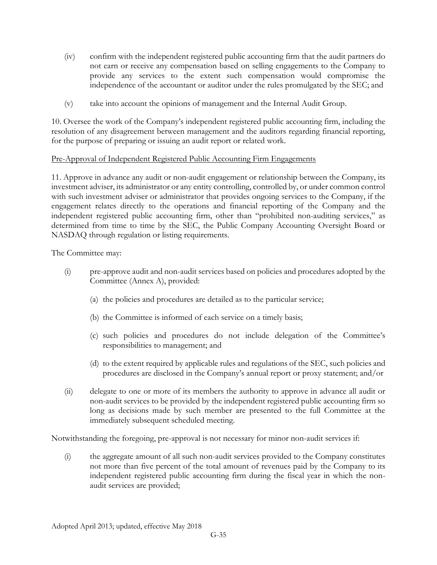- (iv) confirm with the independent registered public accounting firm that the audit partners do not earn or receive any compensation based on selling engagements to the Company to provide any services to the extent such compensation would compromise the independence of the accountant or auditor under the rules promulgated by the SEC; and
- (v) take into account the opinions of management and the Internal Audit Group.

10. Oversee the work of the Company's independent registered public accounting firm, including the resolution of any disagreement between management and the auditors regarding financial reporting, for the purpose of preparing or issuing an audit report or related work.

## Pre-Approval of Independent Registered Public Accounting Firm Engagements

11. Approve in advance any audit or non-audit engagement or relationship between the Company, its investment adviser, its administrator or any entity controlling, controlled by, or under common control with such investment adviser or administrator that provides ongoing services to the Company, if the engagement relates directly to the operations and financial reporting of the Company and the independent registered public accounting firm, other than "prohibited non-auditing services," as determined from time to time by the SEC, the Public Company Accounting Oversight Board or NASDAQ through regulation or listing requirements.

The Committee may:

- (i) pre-approve audit and non-audit services based on policies and procedures adopted by the Committee (Annex A), provided:
	- (a) the policies and procedures are detailed as to the particular service;
	- (b) the Committee is informed of each service on a timely basis;
	- (c) such policies and procedures do not include delegation of the Committee's responsibilities to management; and
	- (d) to the extent required by applicable rules and regulations of the SEC, such policies and procedures are disclosed in the Company's annual report or proxy statement; and/or
- (ii) delegate to one or more of its members the authority to approve in advance all audit or non-audit services to be provided by the independent registered public accounting firm so long as decisions made by such member are presented to the full Committee at the immediately subsequent scheduled meeting.

Notwithstanding the foregoing, pre-approval is not necessary for minor non-audit services if:

(i) the aggregate amount of all such non-audit services provided to the Company constitutes not more than five percent of the total amount of revenues paid by the Company to its independent registered public accounting firm during the fiscal year in which the nonaudit services are provided;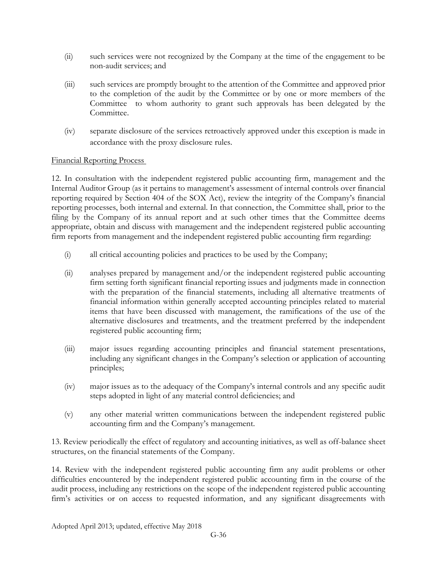- (ii) such services were not recognized by the Company at the time of the engagement to be non-audit services; and
- (iii) such services are promptly brought to the attention of the Committee and approved prior to the completion of the audit by the Committee or by one or more members of the Committee to whom authority to grant such approvals has been delegated by the Committee.
- (iv) separate disclosure of the services retroactively approved under this exception is made in accordance with the proxy disclosure rules.

## Financial Reporting Process

12. In consultation with the independent registered public accounting firm, management and the Internal Auditor Group (as it pertains to management's assessment of internal controls over financial reporting required by Section 404 of the SOX Act), review the integrity of the Company's financial reporting processes, both internal and external. In that connection, the Committee shall, prior to the filing by the Company of its annual report and at such other times that the Committee deems appropriate, obtain and discuss with management and the independent registered public accounting firm reports from management and the independent registered public accounting firm regarding:

- (i) all critical accounting policies and practices to be used by the Company;
- (ii) analyses prepared by management and/or the independent registered public accounting firm setting forth significant financial reporting issues and judgments made in connection with the preparation of the financial statements, including all alternative treatments of financial information within generally accepted accounting principles related to material items that have been discussed with management, the ramifications of the use of the alternative disclosures and treatments, and the treatment preferred by the independent registered public accounting firm;
- (iii) major issues regarding accounting principles and financial statement presentations, including any significant changes in the Company's selection or application of accounting principles;
- (iv) major issues as to the adequacy of the Company's internal controls and any specific audit steps adopted in light of any material control deficiencies; and
- (v) any other material written communications between the independent registered public accounting firm and the Company's management.

13. Review periodically the effect of regulatory and accounting initiatives, as well as off-balance sheet structures, on the financial statements of the Company.

14. Review with the independent registered public accounting firm any audit problems or other difficulties encountered by the independent registered public accounting firm in the course of the audit process, including any restrictions on the scope of the independent registered public accounting firm's activities or on access to requested information, and any significant disagreements with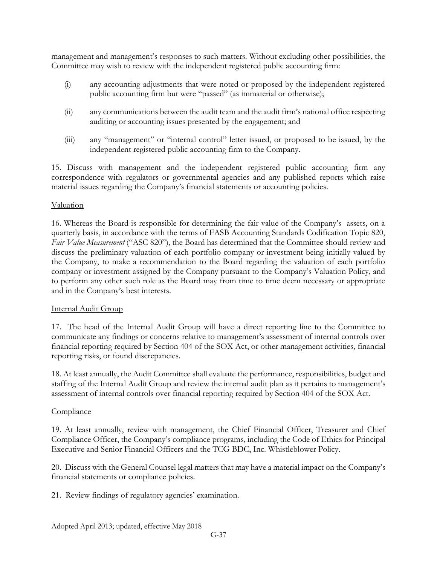management and management's responses to such matters. Without excluding other possibilities, the Committee may wish to review with the independent registered public accounting firm:

- (i) any accounting adjustments that were noted or proposed by the independent registered public accounting firm but were "passed" (as immaterial or otherwise);
- (ii) any communications between the audit team and the audit firm's national office respecting auditing or accounting issues presented by the engagement; and
- (iii) any "management" or "internal control" letter issued, or proposed to be issued, by the independent registered public accounting firm to the Company.

15. Discuss with management and the independent registered public accounting firm any correspondence with regulators or governmental agencies and any published reports which raise material issues regarding the Company's financial statements or accounting policies.

## Valuation

16. Whereas the Board is responsible for determining the fair value of the Company's assets, on a quarterly basis, in accordance with the terms of FASB Accounting Standards Codification Topic 820, *Fair Value Measurement* ("ASC 820"), the Board has determined that the Committee should review and discuss the preliminary valuation of each portfolio company or investment being initially valued by the Company, to make a recommendation to the Board regarding the valuation of each portfolio company or investment assigned by the Company pursuant to the Company's Valuation Policy, and to perform any other such role as the Board may from time to time deem necessary or appropriate and in the Company's best interests.

#### Internal Audit Group

17. The head of the Internal Audit Group will have a direct reporting line to the Committee to communicate any findings or concerns relative to management's assessment of internal controls over financial reporting required by Section 404 of the SOX Act, or other management activities, financial reporting risks, or found discrepancies.

18. At least annually, the Audit Committee shall evaluate the performance, responsibilities, budget and staffing of the Internal Audit Group and review the internal audit plan as it pertains to management's assessment of internal controls over financial reporting required by Section 404 of the SOX Act.

#### **Compliance**

19. At least annually, review with management, the Chief Financial Officer, Treasurer and Chief Compliance Officer, the Company's compliance programs, including the Code of Ethics for Principal Executive and Senior Financial Officers and the TCG BDC, Inc. Whistleblower Policy.

20. Discuss with the General Counsel legal matters that may have a material impact on the Company's financial statements or compliance policies.

21. Review findings of regulatory agencies' examination.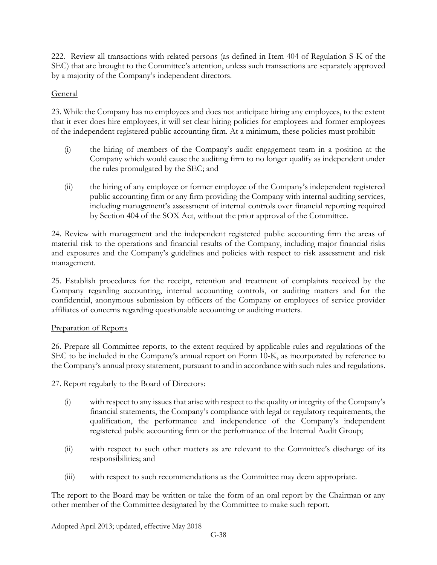222. Review all transactions with related persons (as defined in Item 404 of Regulation S-K of the SEC) that are brought to the Committee's attention, unless such transactions are separately approved by a majority of the Company's independent directors.

## General

23. While the Company has no employees and does not anticipate hiring any employees, to the extent that it ever does hire employees, it will set clear hiring policies for employees and former employees of the independent registered public accounting firm. At a minimum, these policies must prohibit:

- (i) the hiring of members of the Company's audit engagement team in a position at the Company which would cause the auditing firm to no longer qualify as independent under the rules promulgated by the SEC; and
- (ii) the hiring of any employee or former employee of the Company's independent registered public accounting firm or any firm providing the Company with internal auditing services, including management's assessment of internal controls over financial reporting required by Section 404 of the SOX Act, without the prior approval of the Committee.

24. Review with management and the independent registered public accounting firm the areas of material risk to the operations and financial results of the Company, including major financial risks and exposures and the Company's guidelines and policies with respect to risk assessment and risk management.

25. Establish procedures for the receipt, retention and treatment of complaints received by the Company regarding accounting, internal accounting controls, or auditing matters and for the confidential, anonymous submission by officers of the Company or employees of service provider affiliates of concerns regarding questionable accounting or auditing matters.

## Preparation of Reports

26. Prepare all Committee reports, to the extent required by applicable rules and regulations of the SEC to be included in the Company's annual report on Form 10-K, as incorporated by reference to the Company's annual proxy statement, pursuant to and in accordance with such rules and regulations.

27. Report regularly to the Board of Directors:

- (i) with respect to any issues that arise with respect to the quality or integrity of the Company's financial statements, the Company's compliance with legal or regulatory requirements, the qualification, the performance and independence of the Company's independent registered public accounting firm or the performance of the Internal Audit Group;
- (ii) with respect to such other matters as are relevant to the Committee's discharge of its responsibilities; and
- (iii) with respect to such recommendations as the Committee may deem appropriate.

The report to the Board may be written or take the form of an oral report by the Chairman or any other member of the Committee designated by the Committee to make such report.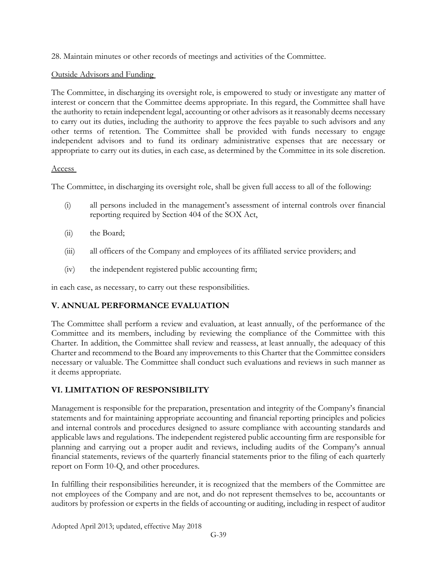28. Maintain minutes or other records of meetings and activities of the Committee.

# Outside Advisors and Funding

The Committee, in discharging its oversight role, is empowered to study or investigate any matter of interest or concern that the Committee deems appropriate. In this regard, the Committee shall have the authority to retain independent legal, accounting or other advisors as it reasonably deems necessary to carry out its duties, including the authority to approve the fees payable to such advisors and any other terms of retention. The Committee shall be provided with funds necessary to engage independent advisors and to fund its ordinary administrative expenses that are necessary or appropriate to carry out its duties, in each case, as determined by the Committee in its sole discretion.

## Access

The Committee, in discharging its oversight role, shall be given full access to all of the following:

- (i) all persons included in the management's assessment of internal controls over financial reporting required by Section 404 of the SOX Act,
- (ii) the Board;
- (iii) all officers of the Company and employees of its affiliated service providers; and
- (iv) the independent registered public accounting firm;

in each case, as necessary, to carry out these responsibilities.

# **V. ANNUAL PERFORMANCE EVALUATION**

The Committee shall perform a review and evaluation, at least annually, of the performance of the Committee and its members, including by reviewing the compliance of the Committee with this Charter. In addition, the Committee shall review and reassess, at least annually, the adequacy of this Charter and recommend to the Board any improvements to this Charter that the Committee considers necessary or valuable. The Committee shall conduct such evaluations and reviews in such manner as it deems appropriate.

# **VI. LIMITATION OF RESPONSIBILITY**

Management is responsible for the preparation, presentation and integrity of the Company's financial statements and for maintaining appropriate accounting and financial reporting principles and policies and internal controls and procedures designed to assure compliance with accounting standards and applicable laws and regulations. The independent registered public accounting firm are responsible for planning and carrying out a proper audit and reviews, including audits of the Company's annual financial statements, reviews of the quarterly financial statements prior to the filing of each quarterly report on Form 10-Q, and other procedures.

In fulfilling their responsibilities hereunder, it is recognized that the members of the Committee are not employees of the Company and are not, and do not represent themselves to be, accountants or auditors by profession or experts in the fields of accounting or auditing, including in respect of auditor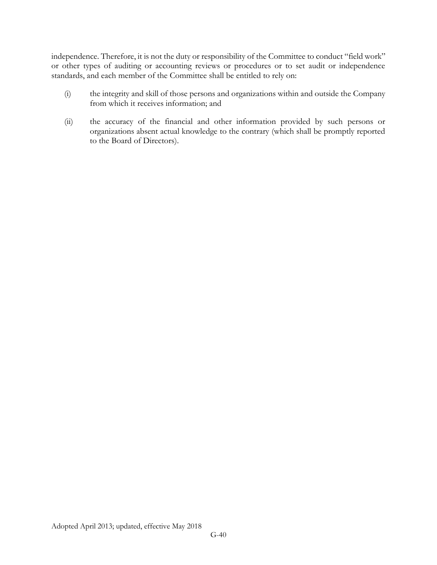independence. Therefore, it is not the duty or responsibility of the Committee to conduct "field work" or other types of auditing or accounting reviews or procedures or to set audit or independence standards, and each member of the Committee shall be entitled to rely on:

- (i) the integrity and skill of those persons and organizations within and outside the Company from which it receives information; and
- (ii) the accuracy of the financial and other information provided by such persons or organizations absent actual knowledge to the contrary (which shall be promptly reported to the Board of Directors).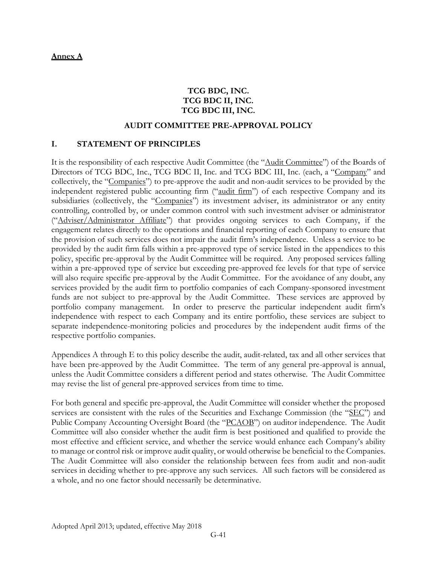## **TCG BDC, INC. TCG BDC II, INC. TCG BDC III, INC.**

### **AUDIT COMMITTEE PRE-APPROVAL POLICY**

#### **I. STATEMENT OF PRINCIPLES**

It is the responsibility of each respective Audit Committee (the "Audit Committee") of the Boards of Directors of TCG BDC, Inc., TCG BDC II, Inc. and TCG BDC III, Inc. (each, a "Company" and collectively, the "Companies") to pre-approve the audit and non-audit services to be provided by the independent registered public accounting firm ("audit firm") of each respective Company and its subsidiaries (collectively, the "Companies") its investment adviser, its administrator or any entity controlling, controlled by, or under common control with such investment adviser or administrator ("Adviser/Administrator Affiliate") that provides ongoing services to each Company, if the engagement relates directly to the operations and financial reporting of each Company to ensure that the provision of such services does not impair the audit firm's independence. Unless a service to be provided by the audit firm falls within a pre-approved type of service listed in the appendices to this policy, specific pre-approval by the Audit Committee will be required. Any proposed services falling within a pre-approved type of service but exceeding pre-approved fee levels for that type of service will also require specific pre-approval by the Audit Committee. For the avoidance of any doubt, any services provided by the audit firm to portfolio companies of each Company-sponsored investment funds are not subject to pre-approval by the Audit Committee. These services are approved by portfolio company management. In order to preserve the particular independent audit firm's independence with respect to each Company and its entire portfolio, these services are subject to separate independence-monitoring policies and procedures by the independent audit firms of the respective portfolio companies.

Appendices A through E to this policy describe the audit, audit-related, tax and all other services that have been pre-approved by the Audit Committee. The term of any general pre-approval is annual, unless the Audit Committee considers a different period and states otherwise. The Audit Committee may revise the list of general pre-approved services from time to time.

For both general and specific pre-approval, the Audit Committee will consider whether the proposed services are consistent with the rules of the Securities and Exchange Commission (the "SEC") and Public Company Accounting Oversight Board (the "PCAOB") on auditor independence. The Audit Committee will also consider whether the audit firm is best positioned and qualified to provide the most effective and efficient service, and whether the service would enhance each Company's ability to manage or control risk or improve audit quality, or would otherwise be beneficial to the Companies. The Audit Committee will also consider the relationship between fees from audit and non-audit services in deciding whether to pre-approve any such services. All such factors will be considered as a whole, and no one factor should necessarily be determinative.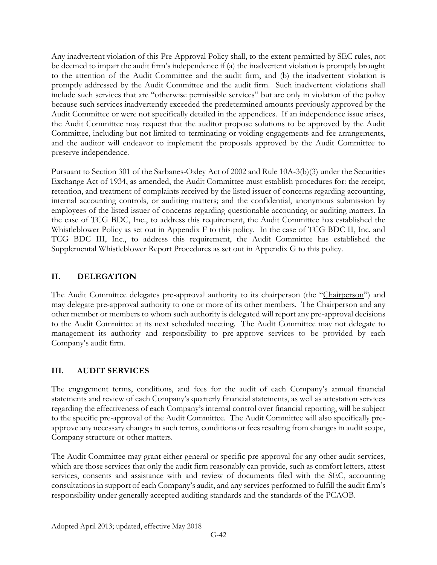Any inadvertent violation of this Pre-Approval Policy shall, to the extent permitted by SEC rules, not be deemed to impair the audit firm's independence if (a) the inadvertent violation is promptly brought to the attention of the Audit Committee and the audit firm, and (b) the inadvertent violation is promptly addressed by the Audit Committee and the audit firm. Such inadvertent violations shall include such services that are "otherwise permissible services" but are only in violation of the policy because such services inadvertently exceeded the predetermined amounts previously approved by the Audit Committee or were not specifically detailed in the appendices. If an independence issue arises, the Audit Committee may request that the auditor propose solutions to be approved by the Audit Committee, including but not limited to terminating or voiding engagements and fee arrangements, and the auditor will endeavor to implement the proposals approved by the Audit Committee to preserve independence.

Pursuant to Section 301 of the Sarbanes-Oxley Act of 2002 and Rule 10A-3(b)(3) under the Securities Exchange Act of 1934, as amended, the Audit Committee must establish procedures for: the receipt, retention, and treatment of complaints received by the listed issuer of concerns regarding accounting, internal accounting controls, or auditing matters; and the confidential, anonymous submission by employees of the listed issuer of concerns regarding questionable accounting or auditing matters. In the case of TCG BDC, Inc., to address this requirement, the Audit Committee has established the Whistleblower Policy as set out in Appendix F to this policy. In the case of TCG BDC II, Inc. and TCG BDC III, Inc., to address this requirement, the Audit Committee has established the Supplemental Whistleblower Report Procedures as set out in Appendix G to this policy.

# **II. DELEGATION**

The Audit Committee delegates pre-approval authority to its chairperson (the "Chairperson") and may delegate pre-approval authority to one or more of its other members. The Chairperson and any other member or members to whom such authority is delegated will report any pre-approval decisions to the Audit Committee at its next scheduled meeting. The Audit Committee may not delegate to management its authority and responsibility to pre-approve services to be provided by each Company's audit firm.

# **III. AUDIT SERVICES**

The engagement terms, conditions, and fees for the audit of each Company's annual financial statements and review of each Company's quarterly financial statements, as well as attestation services regarding the effectiveness of each Company's internal control over financial reporting, will be subject to the specific pre-approval of the Audit Committee. The Audit Committee will also specifically preapprove any necessary changes in such terms, conditions or fees resulting from changes in audit scope, Company structure or other matters.

The Audit Committee may grant either general or specific pre-approval for any other audit services, which are those services that only the audit firm reasonably can provide, such as comfort letters, attest services, consents and assistance with and review of documents filed with the SEC, accounting consultations in support of each Company's audit, and any services performed to fulfill the audit firm's responsibility under generally accepted auditing standards and the standards of the PCAOB.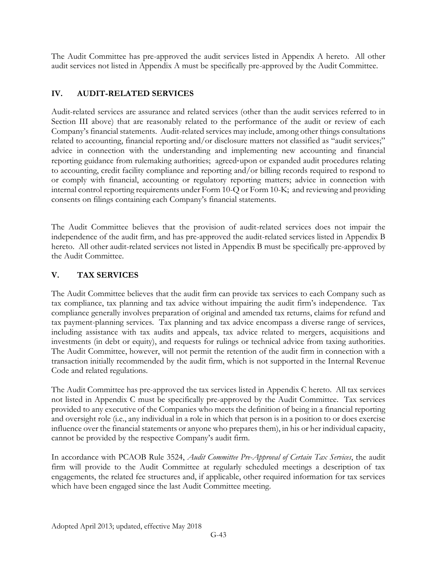The Audit Committee has pre-approved the audit services listed in Appendix A hereto. All other audit services not listed in Appendix A must be specifically pre-approved by the Audit Committee.

# **IV. AUDIT-RELATED SERVICES**

Audit-related services are assurance and related services (other than the audit services referred to in Section III above) that are reasonably related to the performance of the audit or review of each Company's financial statements. Audit-related services may include, among other things consultations related to accounting, financial reporting and/or disclosure matters not classified as "audit services;" advice in connection with the understanding and implementing new accounting and financial reporting guidance from rulemaking authorities; agreed‐upon or expanded audit procedures relating to accounting, credit facility compliance and reporting and/or billing records required to respond to or comply with financial, accounting or regulatory reporting matters; advice in connection with internal control reporting requirements under Form 10-Q or Form 10-K; and reviewing and providing consents on filings containing each Company's financial statements.

The Audit Committee believes that the provision of audit-related services does not impair the independence of the audit firm, and has pre-approved the audit-related services listed in Appendix B hereto. All other audit-related services not listed in Appendix B must be specifically pre-approved by the Audit Committee.

# **V. TAX SERVICES**

The Audit Committee believes that the audit firm can provide tax services to each Company such as tax compliance, tax planning and tax advice without impairing the audit firm's independence. Tax compliance generally involves preparation of original and amended tax returns, claims for refund and tax payment-planning services. Tax planning and tax advice encompass a diverse range of services, including assistance with tax audits and appeals, tax advice related to mergers, acquisitions and investments (in debt or equity), and requests for rulings or technical advice from taxing authorities. The Audit Committee, however, will not permit the retention of the audit firm in connection with a transaction initially recommended by the audit firm, which is not supported in the Internal Revenue Code and related regulations.

The Audit Committee has pre-approved the tax services listed in Appendix C hereto. All tax services not listed in Appendix C must be specifically pre-approved by the Audit Committee. Tax services provided to any executive of the Companies who meets the definition of being in a financial reporting and oversight role (i.e., any individual in a role in which that person is in a position to or does exercise influence over the financial statements or anyone who prepares them), in his or her individual capacity, cannot be provided by the respective Company's audit firm.

In accordance with PCAOB Rule 3524, *Audit Committee Pre-Approval of Certain Tax Services*, the audit firm will provide to the Audit Committee at regularly scheduled meetings a description of tax engagements, the related fee structures and, if applicable, other required information for tax services which have been engaged since the last Audit Committee meeting.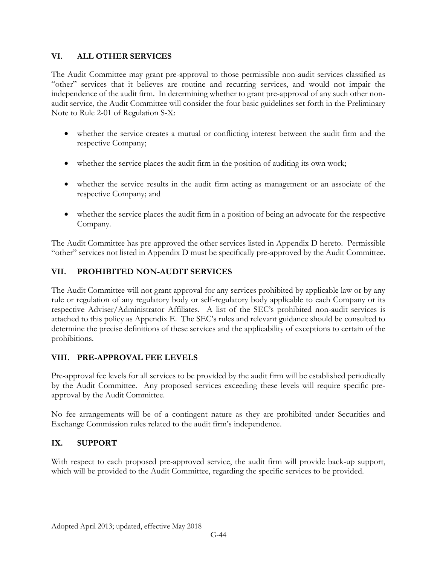## **VI. ALL OTHER SERVICES**

The Audit Committee may grant pre-approval to those permissible non-audit services classified as "other" services that it believes are routine and recurring services, and would not impair the independence of the audit firm. In determining whether to grant pre-approval of any such other nonaudit service, the Audit Committee will consider the four basic guidelines set forth in the Preliminary Note to Rule 2-01 of Regulation S-X:

- whether the service creates a mutual or conflicting interest between the audit firm and the respective Company;
- whether the service places the audit firm in the position of auditing its own work;
- whether the service results in the audit firm acting as management or an associate of the respective Company; and
- whether the service places the audit firm in a position of being an advocate for the respective Company.

The Audit Committee has pre-approved the other services listed in Appendix D hereto. Permissible "other" services not listed in Appendix D must be specifically pre-approved by the Audit Committee.

## **VII. PROHIBITED NON-AUDIT SERVICES**

The Audit Committee will not grant approval for any services prohibited by applicable law or by any rule or regulation of any regulatory body or self-regulatory body applicable to each Company or its respective Adviser/Administrator Affiliates. A list of the SEC's prohibited non-audit services is attached to this policy as Appendix E. The SEC's rules and relevant guidance should be consulted to determine the precise definitions of these services and the applicability of exceptions to certain of the prohibitions.

## **VIII. PRE-APPROVAL FEE LEVELS**

Pre-approval fee levels for all services to be provided by the audit firm will be established periodically by the Audit Committee. Any proposed services exceeding these levels will require specific preapproval by the Audit Committee.

No fee arrangements will be of a contingent nature as they are prohibited under Securities and Exchange Commission rules related to the audit firm's independence.

## **IX. SUPPORT**

With respect to each proposed pre-approved service, the audit firm will provide back-up support, which will be provided to the Audit Committee, regarding the specific services to be provided.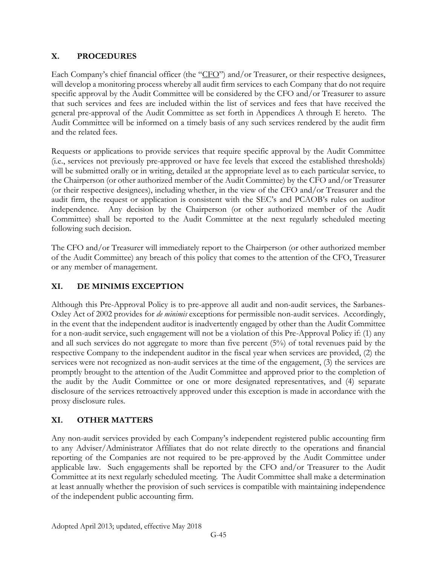## **X. PROCEDURES**

Each Company's chief financial officer (the "CFO") and/or Treasurer, or their respective designees, will develop a monitoring process whereby all audit firm services to each Company that do not require specific approval by the Audit Committee will be considered by the CFO and/or Treasurer to assure that such services and fees are included within the list of services and fees that have received the general pre-approval of the Audit Committee as set forth in Appendices A through E hereto. The Audit Committee will be informed on a timely basis of any such services rendered by the audit firm and the related fees.

Requests or applications to provide services that require specific approval by the Audit Committee (i.e., services not previously pre-approved or have fee levels that exceed the established thresholds) will be submitted orally or in writing, detailed at the appropriate level as to each particular service, to the Chairperson (or other authorized member of the Audit Committee) by the CFO and/or Treasurer (or their respective designees), including whether, in the view of the CFO and/or Treasurer and the audit firm, the request or application is consistent with the SEC's and PCAOB's rules on auditor independence. Any decision by the Chairperson (or other authorized member of the Audit Committee) shall be reported to the Audit Committee at the next regularly scheduled meeting following such decision.

The CFO and/or Treasurer will immediately report to the Chairperson (or other authorized member of the Audit Committee) any breach of this policy that comes to the attention of the CFO, Treasurer or any member of management.

# **XI. DE MINIMIS EXCEPTION**

Although this Pre-Approval Policy is to pre-approve all audit and non-audit services, the Sarbanes-Oxley Act of 2002 provides for *de minimis* exceptions for permissible non-audit services. Accordingly, in the event that the independent auditor is inadvertently engaged by other than the Audit Committee for a non-audit service, such engagement will not be a violation of this Pre-Approval Policy if: (1) any and all such services do not aggregate to more than five percent (5%) of total revenues paid by the respective Company to the independent auditor in the fiscal year when services are provided, (2) the services were not recognized as non-audit services at the time of the engagement, (3) the services are promptly brought to the attention of the Audit Committee and approved prior to the completion of the audit by the Audit Committee or one or more designated representatives, and (4) separate disclosure of the services retroactively approved under this exception is made in accordance with the proxy disclosure rules.

# **XI. OTHER MATTERS**

Any non-audit services provided by each Company's independent registered public accounting firm to any Adviser/Administrator Affiliates that do not relate directly to the operations and financial reporting of the Companies are not required to be pre-approved by the Audit Committee under applicable law. Such engagements shall be reported by the CFO and/or Treasurer to the Audit Committee at its next regularly scheduled meeting. The Audit Committee shall make a determination at least annually whether the provision of such services is compatible with maintaining independence of the independent public accounting firm.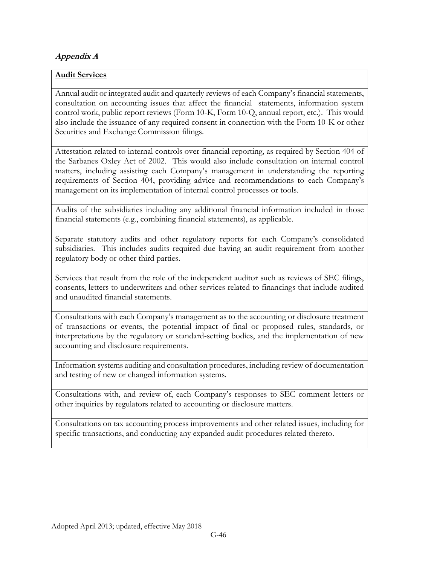# **Appendix A**

## **Audit Services**

Annual audit or integrated audit and quarterly reviews of each Company's financial statements, consultation on accounting issues that affect the financial statements, information system control work, public report reviews (Form 10-K, Form 10-Q, annual report, etc.). This would also include the issuance of any required consent in connection with the Form 10-K or other Securities and Exchange Commission filings.

Attestation related to internal controls over financial reporting, as required by Section 404 of the Sarbanes Oxley Act of 2002. This would also include consultation on internal control matters, including assisting each Company's management in understanding the reporting requirements of Section 404, providing advice and recommendations to each Company's management on its implementation of internal control processes or tools.

Audits of the subsidiaries including any additional financial information included in those financial statements (e.g., combining financial statements), as applicable.

Separate statutory audits and other regulatory reports for each Company's consolidated subsidiaries. This includes audits required due having an audit requirement from another regulatory body or other third parties.

Services that result from the role of the independent auditor such as reviews of SEC filings, consents, letters to underwriters and other services related to financings that include audited and unaudited financial statements.

Consultations with each Company's management as to the accounting or disclosure treatment of transactions or events, the potential impact of final or proposed rules, standards, or interpretations by the regulatory or standard-setting bodies, and the implementation of new accounting and disclosure requirements.

Information systems auditing and consultation procedures, including review of documentation and testing of new or changed information systems.

Consultations with, and review of, each Company's responses to SEC comment letters or other inquiries by regulators related to accounting or disclosure matters.

Consultations on tax accounting process improvements and other related issues, including for specific transactions, and conducting any expanded audit procedures related thereto.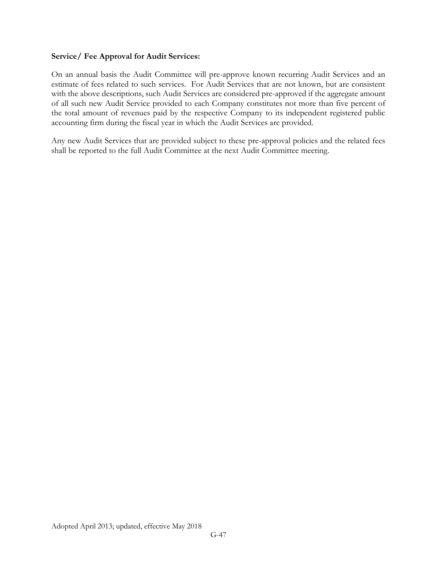### **Service/ Fee Approval for Audit Services:**

On an annual basis the Audit Committee will pre-approve known recurring Audit Services and an estimate of fees related to such services. For Audit Services that are not known, but are consistent with the above descriptions, such Audit Services are considered pre-approved if the aggregate amount of all such new Audit Service provided to each Company constitutes not more than five percent of the total amount of revenues paid by the respective Company to its independent registered public accounting firm during the fiscal year in which the Audit Services are provided.

Any new Audit Services that are provided subject to these pre-approval policies and the related fees shall be reported to the full Audit Committee at the next Audit Committee meeting.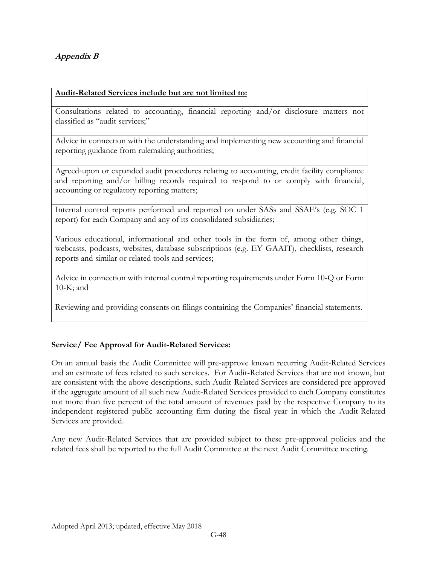# **Appendix B**

### **Audit-Related Services include but are not limited to:**

Consultations related to accounting, financial reporting and/or disclosure matters not classified as "audit services;"

Advice in connection with the understanding and implementing new accounting and financial reporting guidance from rulemaking authorities;

Agreed‐upon or expanded audit procedures relating to accounting, credit facility compliance and reporting and/or billing records required to respond to or comply with financial, accounting or regulatory reporting matters;

Internal control reports performed and reported on under SASs and SSAE's (e.g. SOC 1 report) for each Company and any of its consolidated subsidiaries;

Various educational, informational and other tools in the form of, among other things, webcasts, podcasts, websites, database subscriptions (e.g. EY GAAIT), checklists, research reports and similar or related tools and services;

Advice in connection with internal control reporting requirements under Form 10-Q or Form 10-K; and

Reviewing and providing consents on filings containing the Companies' financial statements.

## **Service/ Fee Approval for Audit-Related Services:**

On an annual basis the Audit Committee will pre-approve known recurring Audit-Related Services and an estimate of fees related to such services. For Audit-Related Services that are not known, but are consistent with the above descriptions, such Audit-Related Services are considered pre-approved if the aggregate amount of all such new Audit-Related Services provided to each Company constitutes not more than five percent of the total amount of revenues paid by the respective Company to its independent registered public accounting firm during the fiscal year in which the Audit-Related Services are provided.

Any new Audit-Related Services that are provided subject to these pre-approval policies and the related fees shall be reported to the full Audit Committee at the next Audit Committee meeting.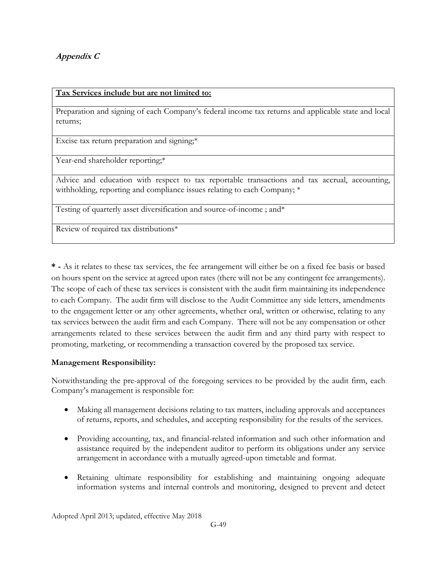# **Appendix C**

### **Tax Services include but are not limited to:**

Preparation and signing of each Company's federal income tax returns and applicable state and local returns;

Excise tax return preparation and signing;\*

Year-end shareholder reporting;\*

Advice and education with respect to tax reportable transactions and tax accrual, accounting, withholding, reporting and compliance issues relating to each Company; \*

Testing of quarterly asset diversification and source-of-income ; and\*

Review of required tax distributions\*

**\* -** As it relates to these tax services, the fee arrangement will either be on a fixed fee basis or based on hours spent on the service at agreed upon rates (there will not be any contingent fee arrangements). The scope of each of these tax services is consistent with the audit firm maintaining its independence to each Company. The audit firm will disclose to the Audit Committee any side letters, amendments to the engagement letter or any other agreements, whether oral, written or otherwise, relating to any tax services between the audit firm and each Company. There will not be any compensation or other arrangements related to these services between the audit firm and any third party with respect to promoting, marketing, or recommending a transaction covered by the proposed tax service.

## **Management Responsibility:**

Notwithstanding the pre-approval of the foregoing services to be provided by the audit firm, each Company's management is responsible for:

- Making all management decisions relating to tax matters, including approvals and acceptances of returns, reports, and schedules, and accepting responsibility for the results of the services.
- Providing accounting, tax, and financial-related information and such other information and assistance required by the independent auditor to perform its obligations under any service arrangement in accordance with a mutually agreed-upon timetable and format.
- Retaining ultimate responsibility for establishing and maintaining ongoing adequate information systems and internal controls and monitoring, designed to prevent and detect

Adopted April 2013; updated, effective May 2018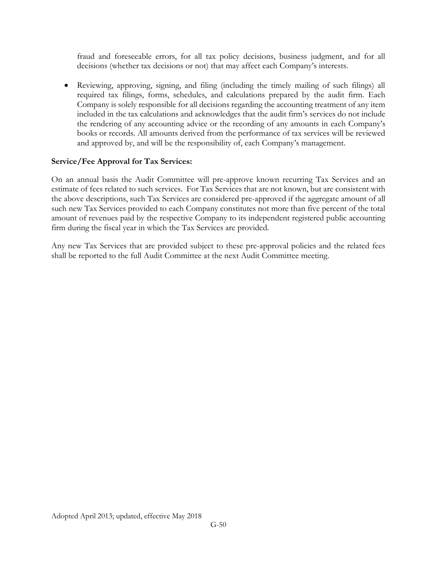fraud and foreseeable errors, for all tax policy decisions, business judgment, and for all decisions (whether tax decisions or not) that may affect each Company's interests.

 Reviewing, approving, signing, and filing (including the timely mailing of such filings) all required tax filings, forms, schedules, and calculations prepared by the audit firm. Each Company is solely responsible for all decisions regarding the accounting treatment of any item included in the tax calculations and acknowledges that the audit firm's services do not include the rendering of any accounting advice or the recording of any amounts in each Company's books or records. All amounts derived from the performance of tax services will be reviewed and approved by, and will be the responsibility of, each Company's management.

## **Service/Fee Approval for Tax Services:**

On an annual basis the Audit Committee will pre-approve known recurring Tax Services and an estimate of fees related to such services. For Tax Services that are not known, but are consistent with the above descriptions, such Tax Services are considered pre-approved if the aggregate amount of all such new Tax Services provided to each Company constitutes not more than five percent of the total amount of revenues paid by the respective Company to its independent registered public accounting firm during the fiscal year in which the Tax Services are provided.

Any new Tax Services that are provided subject to these pre-approval policies and the related fees shall be reported to the full Audit Committee at the next Audit Committee meeting.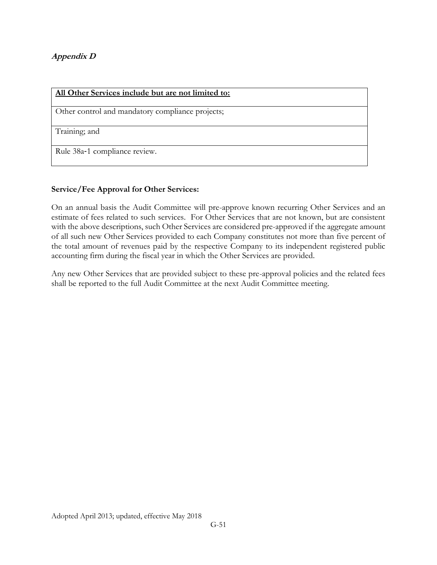## **Appendix D**

| All Other Services include but are not limited to: |
|----------------------------------------------------|
| Other control and mandatory compliance projects;   |
| Training; and                                      |
| Rule 38a-1 compliance review.                      |

## **Service/Fee Approval for Other Services:**

On an annual basis the Audit Committee will pre-approve known recurring Other Services and an estimate of fees related to such services. For Other Services that are not known, but are consistent with the above descriptions, such Other Services are considered pre-approved if the aggregate amount of all such new Other Services provided to each Company constitutes not more than five percent of the total amount of revenues paid by the respective Company to its independent registered public accounting firm during the fiscal year in which the Other Services are provided.

Any new Other Services that are provided subject to these pre-approval policies and the related fees shall be reported to the full Audit Committee at the next Audit Committee meeting.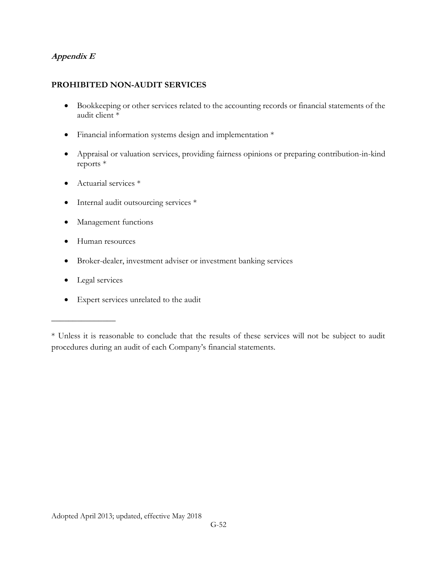## **Appendix E**

## **PROHIBITED NON-AUDIT SERVICES**

- Bookkeeping or other services related to the accounting records or financial statements of the audit client \*
- Financial information systems design and implementation \*
- Appraisal or valuation services, providing fairness opinions or preparing contribution-in-kind reports \*
- Actuarial services  $*$
- Internal audit outsourcing services \*
- Management functions
- Human resources
- Broker-dealer, investment adviser or investment banking services
- Legal services

 $\frac{1}{2}$ 

Expert services unrelated to the audit

<sup>\*</sup> Unless it is reasonable to conclude that the results of these services will not be subject to audit procedures during an audit of each Company's financial statements.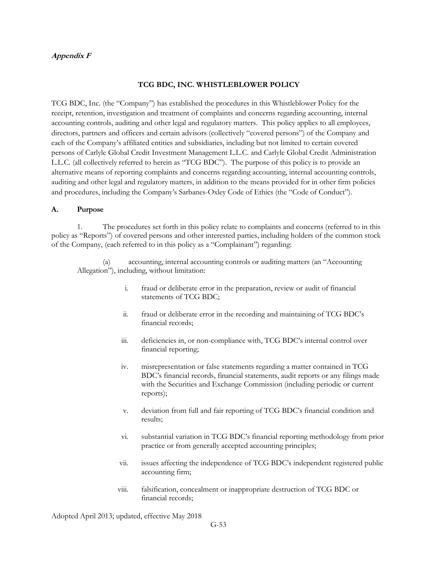#### **Appendix F**

#### **TCG BDC, INC. WHISTLEBLOWER POLICY**

TCG BDC, Inc. (the "Company") has established the procedures in this Whistleblower Policy for the receipt, retention, investigation and treatment of complaints and concerns regarding accounting, internal accounting controls, auditing and other legal and regulatory matters. This policy applies to all employees, directors, partners and officers and certain advisors (collectively "covered persons") of the Company and each of the Company's affiliated entities and subsidiaries, including but not limited to certain covered persons of Carlyle Global Credit Investment Management L.L.C. and Carlyle Global Credit Administration L.L.C. (all collectively referred to herein as "TCG BDC"). The purpose of this policy is to provide an alternative means of reporting complaints and concerns regarding accounting, internal accounting controls, auditing and other legal and regulatory matters, in addition to the means provided for in other firm policies and procedures, including the Company's Sarbanes-Oxley Code of Ethics (the "Code of Conduct").

#### **A. Purpose**

1. The procedures set forth in this policy relate to complaints and concerns (referred to in this policy as "Reports") of covered persons and other interested parties, including holders of the common stock of the Company, (each referred to in this policy as a "Complainant") regarding:

(a) accounting, internal accounting controls or auditing matters (an "Accounting Allegation"), including, without limitation:

- i. fraud or deliberate error in the preparation, review or audit of financial statements of TCG BDC;
- ii. fraud or deliberate error in the recording and maintaining of TCG BDC's financial records;
- iii. deficiencies in, or non-compliance with, TCG BDC's internal control over financial reporting;
- iv. misrepresentation or false statements regarding a matter contained in TCG BDC's financial records, financial statements, audit reports or any filings made with the Securities and Exchange Commission (including periodic or current reports);
- v. deviation from full and fair reporting of TCG BDC's financial condition and results;
- vi. substantial variation in TCG BDC's financial reporting methodology from prior practice or from generally accepted accounting principles;
- vii. issues affecting the independence of TCG BDC's independent registered public accounting firm;
- viii. falsification, concealment or inappropriate destruction of TCG BDC or financial records;

Adopted April 2013; updated, effective May 2018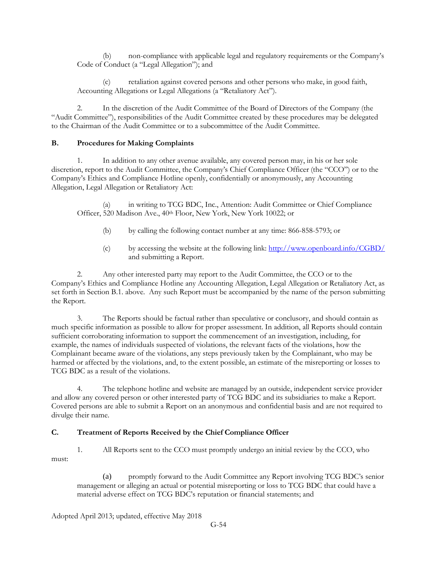(b) non-compliance with applicable legal and regulatory requirements or the Company's Code of Conduct (a "Legal Allegation"); and

(c) retaliation against covered persons and other persons who make, in good faith, Accounting Allegations or Legal Allegations (a "Retaliatory Act").

2. In the discretion of the Audit Committee of the Board of Directors of the Company (the "Audit Committee"), responsibilities of the Audit Committee created by these procedures may be delegated to the Chairman of the Audit Committee or to a subcommittee of the Audit Committee.

#### **B. Procedures for Making Complaints**

1. In addition to any other avenue available, any covered person may, in his or her sole discretion, report to the Audit Committee, the Company's Chief Compliance Officer (the "CCO") or to the Company's Ethics and Compliance Hotline openly, confidentially or anonymously, any Accounting Allegation, Legal Allegation or Retaliatory Act:

(a) in writing to TCG BDC, Inc., Attention: Audit Committee or Chief Compliance Officer, 520 Madison Ave., 40th Floor, New York, New York 10022; or

- (b) by calling the following contact number at any time: 866-858-5793; or
- (c) by accessing the website at the following link:<http://www.openboard.info/CGBD/> and submitting a Report.

2. Any other interested party may report to the Audit Committee, the CCO or to the Company's Ethics and Compliance Hotline any Accounting Allegation, Legal Allegation or Retaliatory Act, as set forth in Section B.1. above. Any such Report must be accompanied by the name of the person submitting the Report.

3. The Reports should be factual rather than speculative or conclusory, and should contain as much specific information as possible to allow for proper assessment. In addition, all Reports should contain sufficient corroborating information to support the commencement of an investigation, including, for example, the names of individuals suspected of violations, the relevant facts of the violations, how the Complainant became aware of the violations, any steps previously taken by the Complainant, who may be harmed or affected by the violations, and, to the extent possible, an estimate of the misreporting or losses to TCG BDC as a result of the violations.

4. The telephone hotline and website are managed by an outside, independent service provider and allow any covered person or other interested party of TCG BDC and its subsidiaries to make a Report. Covered persons are able to submit a Report on an anonymous and confidential basis and are not required to divulge their name.

#### **C. Treatment of Reports Received by the Chief Compliance Officer**

1. All Reports sent to the CCO must promptly undergo an initial review by the CCO, who must:

(a) promptly forward to the Audit Committee any Report involving TCG BDC's senior management or alleging an actual or potential misreporting or loss to TCG BDC that could have a material adverse effect on TCG BDC's reputation or financial statements; and

Adopted April 2013; updated, effective May 2018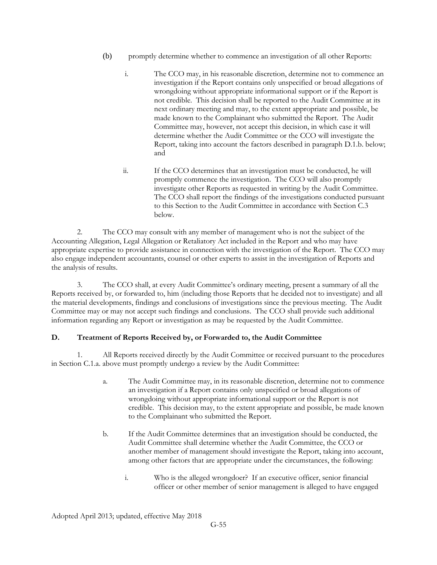- (b) promptly determine whether to commence an investigation of all other Reports:
	- i. The CCO may, in his reasonable discretion, determine not to commence an investigation if the Report contains only unspecified or broad allegations of wrongdoing without appropriate informational support or if the Report is not credible. This decision shall be reported to the Audit Committee at its next ordinary meeting and may, to the extent appropriate and possible, be made known to the Complainant who submitted the Report. The Audit Committee may, however, not accept this decision, in which case it will determine whether the Audit Committee or the CCO will investigate the Report, taking into account the factors described in paragraph D.1.b. below; and
	- ii. If the CCO determines that an investigation must be conducted, he will promptly commence the investigation. The CCO will also promptly investigate other Reports as requested in writing by the Audit Committee. The CCO shall report the findings of the investigations conducted pursuant to this Section to the Audit Committee in accordance with Section C.3 below.

2. The CCO may consult with any member of management who is not the subject of the Accounting Allegation, Legal Allegation or Retaliatory Act included in the Report and who may have appropriate expertise to provide assistance in connection with the investigation of the Report. The CCO may also engage independent accountants, counsel or other experts to assist in the investigation of Reports and the analysis of results.

3. The CCO shall, at every Audit Committee's ordinary meeting, present a summary of all the Reports received by, or forwarded to, him (including those Reports that he decided not to investigate) and all the material developments, findings and conclusions of investigations since the previous meeting. The Audit Committee may or may not accept such findings and conclusions. The CCO shall provide such additional information regarding any Report or investigation as may be requested by the Audit Committee.

#### **D. Treatment of Reports Received by, or Forwarded to, the Audit Committee**

1. All Reports received directly by the Audit Committee or received pursuant to the procedures in Section C.1.a. above must promptly undergo a review by the Audit Committee:

- a. The Audit Committee may, in its reasonable discretion, determine not to commence an investigation if a Report contains only unspecified or broad allegations of wrongdoing without appropriate informational support or the Report is not credible. This decision may, to the extent appropriate and possible, be made known to the Complainant who submitted the Report.
- b. If the Audit Committee determines that an investigation should be conducted, the Audit Committee shall determine whether the Audit Committee, the CCO or another member of management should investigate the Report, taking into account, among other factors that are appropriate under the circumstances, the following:
	- i. Who is the alleged wrongdoer? If an executive officer, senior financial officer or other member of senior management is alleged to have engaged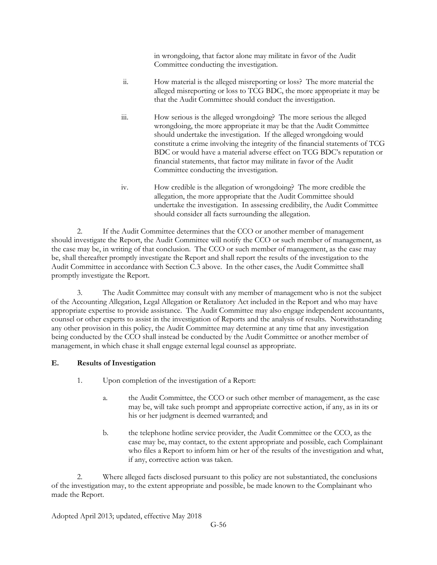in wrongdoing, that factor alone may militate in favor of the Audit Committee conducting the investigation.

- ii. How material is the alleged misreporting or loss? The more material the alleged misreporting or loss to TCG BDC, the more appropriate it may be that the Audit Committee should conduct the investigation.
- iii. How serious is the alleged wrongdoing? The more serious the alleged wrongdoing, the more appropriate it may be that the Audit Committee should undertake the investigation. If the alleged wrongdoing would constitute a crime involving the integrity of the financial statements of TCG BDC or would have a material adverse effect on TCG BDC's reputation or financial statements, that factor may militate in favor of the Audit Committee conducting the investigation.
- iv. How credible is the allegation of wrongdoing? The more credible the allegation, the more appropriate that the Audit Committee should undertake the investigation. In assessing credibility, the Audit Committee should consider all facts surrounding the allegation.

2. If the Audit Committee determines that the CCO or another member of management should investigate the Report, the Audit Committee will notify the CCO or such member of management, as the case may be, in writing of that conclusion. The CCO or such member of management, as the case may be, shall thereafter promptly investigate the Report and shall report the results of the investigation to the Audit Committee in accordance with Section C.3 above. In the other cases, the Audit Committee shall promptly investigate the Report.

3. The Audit Committee may consult with any member of management who is not the subject of the Accounting Allegation, Legal Allegation or Retaliatory Act included in the Report and who may have appropriate expertise to provide assistance. The Audit Committee may also engage independent accountants, counsel or other experts to assist in the investigation of Reports and the analysis of results. Notwithstanding any other provision in this policy, the Audit Committee may determine at any time that any investigation being conducted by the CCO shall instead be conducted by the Audit Committee or another member of management, in which chase it shall engage external legal counsel as appropriate.

#### **E. Results of Investigation**

- 1. Upon completion of the investigation of a Report:
	- a. the Audit Committee, the CCO or such other member of management, as the case may be, will take such prompt and appropriate corrective action, if any, as in its or his or her judgment is deemed warranted; and
	- b. the telephone hotline service provider, the Audit Committee or the CCO, as the case may be, may contact, to the extent appropriate and possible, each Complainant who files a Report to inform him or her of the results of the investigation and what, if any, corrective action was taken.

2. Where alleged facts disclosed pursuant to this policy are not substantiated, the conclusions of the investigation may, to the extent appropriate and possible, be made known to the Complainant who made the Report.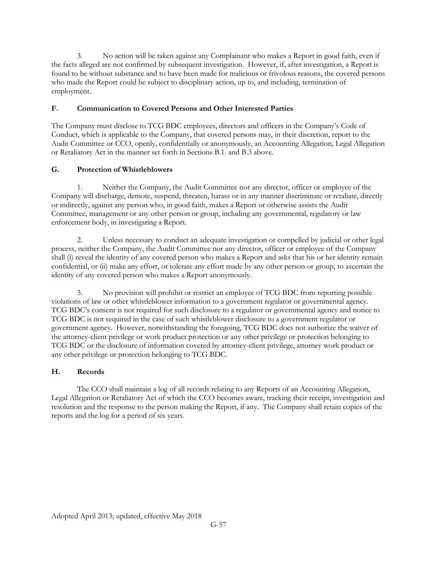3. No action will be taken against any Complainant who makes a Report in good faith, even if the facts alleged are not confirmed by subsequent investigation. However, if, after investigation, a Report is found to be without substance and to have been made for malicious or frivolous reasons, the covered persons who made the Report could be subject to disciplinary action, up to, and including, termination of employment.

### **F. Communication to Covered Persons and Other Interested Parties**

The Company must disclose to TCG BDC employees, directors and officers in the Company's Code of Conduct, which is applicable to the Company, that covered persons may, in their discretion, report to the Audit Committee or CCO, openly, confidentially or anonymously, an Accounting Allegation, Legal Allegation or Retaliatory Act in the manner set forth in Sections B.1. and B.3 above.

#### **G. Protection of Whistleblowers**

1. Neither the Company, the Audit Committee nor any director, officer or employee of the Company will discharge, demote, suspend, threaten, harass or in any manner discriminate or retaliate, directly or indirectly, against any person who, in good faith, makes a Report or otherwise assists the Audit Committee, management or any other person or group, including any governmental, regulatory or law enforcement body, in investigating a Report.

2. Unless necessary to conduct an adequate investigation or compelled by judicial or other legal process, neither the Company, the Audit Committee nor any director, officer or employee of the Company shall (i) reveal the identity of any covered person who makes a Report and asks that his or her identity remain confidential, or (ii) make any effort, or tolerate any effort made by any other person or group, to ascertain the identity of any covered person who makes a Report anonymously.

3. No provision will prohibit or restrict an employee of TCG BDC from reporting possible violations of law or other whistleblower information to a government regulator or governmental agency. TCG BDC's consent is not required for such disclosure to a regulator or governmental agency and notice to TCG BDC is not required in the case of such whistleblower disclosure to a government regulator or government agency. However, notwithstanding the foregoing, TCG BDC does not authorize the waiver of the attorney-client privilege or work product protection or any other privilege or protection belonging to TCG BDC or the disclosure of information covered by attorney-client privilege, attorney work product or any other privilege or protection belonging to TCG BDC.

## **H. Records**

The CCO shall maintain a log of all records relating to any Reports of an Accounting Allegation, Legal Allegation or Retaliatory Act of which the CCO becomes aware, tracking their receipt, investigation and resolution and the response to the person making the Report, if any. The Company shall retain copies of the reports and the log for a period of six years.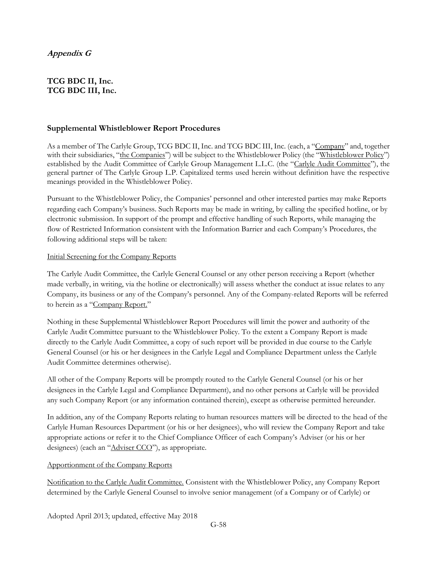## **TCG BDC II, Inc. TCG BDC III, Inc.**

#### **Supplemental Whistleblower Report Procedures**

As a member of The Carlyle Group, TCG BDC II, Inc. and TCG BDC III, Inc. (each, a "Company" and, together with their subsidiaries, "the Companies") will be subject to the Whistleblower Policy (the "Whistleblower Policy") established by the Audit Committee of Carlyle Group Management L.L.C. (the "Carlyle Audit Committee"), the general partner of The Carlyle Group L.P. Capitalized terms used herein without definition have the respective meanings provided in the Whistleblower Policy.

Pursuant to the Whistleblower Policy, the Companies' personnel and other interested parties may make Reports regarding each Company's business. Such Reports may be made in writing, by calling the specified hotline, or by electronic submission. In support of the prompt and effective handling of such Reports, while managing the flow of Restricted Information consistent with the Information Barrier and each Company's Procedures, the following additional steps will be taken:

#### Initial Screening for the Company Reports

The Carlyle Audit Committee, the Carlyle General Counsel or any other person receiving a Report (whether made verbally, in writing, via the hotline or electronically) will assess whether the conduct at issue relates to any Company, its business or any of the Company's personnel. Any of the Company-related Reports will be referred to herein as a "Company Report."

Nothing in these Supplemental Whistleblower Report Procedures will limit the power and authority of the Carlyle Audit Committee pursuant to the Whistleblower Policy. To the extent a Company Report is made directly to the Carlyle Audit Committee, a copy of such report will be provided in due course to the Carlyle General Counsel (or his or her designees in the Carlyle Legal and Compliance Department unless the Carlyle Audit Committee determines otherwise).

All other of the Company Reports will be promptly routed to the Carlyle General Counsel (or his or her designees in the Carlyle Legal and Compliance Department), and no other persons at Carlyle will be provided any such Company Report (or any information contained therein), except as otherwise permitted hereunder.

In addition, any of the Company Reports relating to human resources matters will be directed to the head of the Carlyle Human Resources Department (or his or her designees), who will review the Company Report and take appropriate actions or refer it to the Chief Compliance Officer of each Company's Adviser (or his or her designees) (each an "Adviser CCO"), as appropriate.

#### Apportionment of the Company Reports

Notification to the Carlyle Audit Committee. Consistent with the Whistleblower Policy, any Company Report determined by the Carlyle General Counsel to involve senior management (of a Company or of Carlyle) or

Adopted April 2013; updated, effective May 2018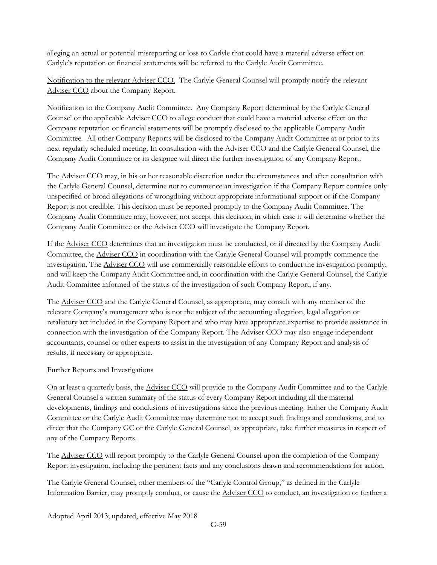alleging an actual or potential misreporting or loss to Carlyle that could have a material adverse effect on Carlyle's reputation or financial statements will be referred to the Carlyle Audit Committee.

Notification to the relevant Adviser CCO. The Carlyle General Counsel will promptly notify the relevant Adviser CCO about the Company Report.

Notification to the Company Audit Committee. Any Company Report determined by the Carlyle General Counsel or the applicable Adviser CCO to allege conduct that could have a material adverse effect on the Company reputation or financial statements will be promptly disclosed to the applicable Company Audit Committee. All other Company Reports will be disclosed to the Company Audit Committee at or prior to its next regularly scheduled meeting. In consultation with the Adviser CCO and the Carlyle General Counsel, the Company Audit Committee or its designee will direct the further investigation of any Company Report.

The Adviser CCO may, in his or her reasonable discretion under the circumstances and after consultation with the Carlyle General Counsel, determine not to commence an investigation if the Company Report contains only unspecified or broad allegations of wrongdoing without appropriate informational support or if the Company Report is not credible. This decision must be reported promptly to the Company Audit Committee. The Company Audit Committee may, however, not accept this decision, in which case it will determine whether the Company Audit Committee or the Adviser CCO will investigate the Company Report.

If the Adviser CCO determines that an investigation must be conducted, or if directed by the Company Audit Committee, the Adviser CCO in coordination with the Carlyle General Counsel will promptly commence the investigation. The Adviser CCO will use commercially reasonable efforts to conduct the investigation promptly, and will keep the Company Audit Committee and, in coordination with the Carlyle General Counsel, the Carlyle Audit Committee informed of the status of the investigation of such Company Report, if any.

The **Adviser CCO** and the Carlyle General Counsel, as appropriate, may consult with any member of the relevant Company's management who is not the subject of the accounting allegation, legal allegation or retaliatory act included in the Company Report and who may have appropriate expertise to provide assistance in connection with the investigation of the Company Report. The Adviser CCO may also engage independent accountants, counsel or other experts to assist in the investigation of any Company Report and analysis of results, if necessary or appropriate.

#### Further Reports and Investigations

On at least a quarterly basis, the Adviser CCO will provide to the Company Audit Committee and to the Carlyle General Counsel a written summary of the status of every Company Report including all the material developments, findings and conclusions of investigations since the previous meeting. Either the Company Audit Committee or the Carlyle Audit Committee may determine not to accept such findings and conclusions, and to direct that the Company GC or the Carlyle General Counsel, as appropriate, take further measures in respect of any of the Company Reports.

The Adviser CCO will report promptly to the Carlyle General Counsel upon the completion of the Company Report investigation, including the pertinent facts and any conclusions drawn and recommendations for action.

The Carlyle General Counsel, other members of the "Carlyle Control Group," as defined in the Carlyle Information Barrier, may promptly conduct, or cause the Adviser CCO to conduct, an investigation or further a

Adopted April 2013; updated, effective May 2018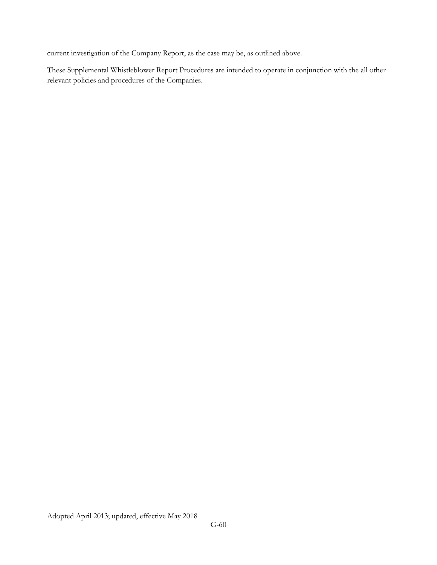current investigation of the Company Report, as the case may be, as outlined above.

These Supplemental Whistleblower Report Procedures are intended to operate in conjunction with the all other relevant policies and procedures of the Companies.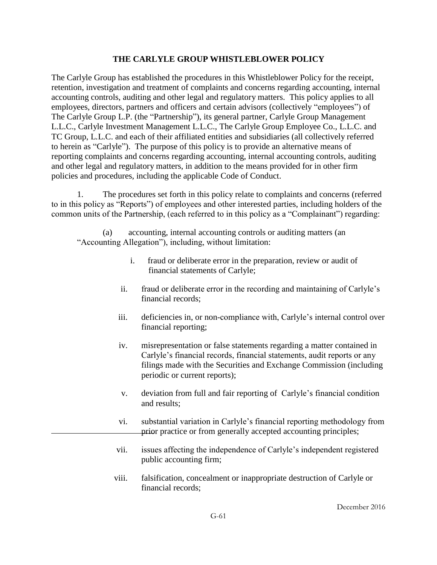## **THE CARLYLE GROUP WHISTLEBLOWER POLICY**

The Carlyle Group has established the procedures in this Whistleblower Policy for the receipt, retention, investigation and treatment of complaints and concerns regarding accounting, internal accounting controls, auditing and other legal and regulatory matters. This policy applies to all employees, directors, partners and officers and certain advisors (collectively "employees") of The Carlyle Group L.P. (the "Partnership"), its general partner, Carlyle Group Management L.L.C., Carlyle Investment Management L.L.C., The Carlyle Group Employee Co., L.L.C. and TC Group, L.L.C. and each of their affiliated entities and subsidiaries (all collectively referred to herein as "Carlyle"). The purpose of this policy is to provide an alternative means of reporting complaints and concerns regarding accounting, internal accounting controls, auditing and other legal and regulatory matters, in addition to the means provided for in other firm policies and procedures, including the applicable Code of Conduct.

1. The procedures set forth in this policy relate to complaints and concerns (referred to in this policy as "Reports") of employees and other interested parties, including holders of the common units of the Partnership, (each referred to in this policy as a "Complainant") regarding:

(a) accounting, internal accounting controls or auditing matters (an "Accounting Allegation"), including, without limitation:

- i. fraud or deliberate error in the preparation, review or audit of financial statements of Carlyle;
- ii. fraud or deliberate error in the recording and maintaining of Carlyle's financial records;
- iii. deficiencies in, or non-compliance with, Carlyle's internal control over financial reporting;
- iv. misrepresentation or false statements regarding a matter contained in Carlyle's financial records, financial statements, audit reports or any filings made with the Securities and Exchange Commission (including periodic or current reports);
- v. deviation from full and fair reporting of Carlyle's financial condition and results;
- vi. substantial variation in Carlyle's financial reporting methodology from prior practice or from generally accepted accounting principles;
- vii. issues affecting the independence of Carlyle's independent registered public accounting firm;
- viii. falsification, concealment or inappropriate destruction of Carlyle or financial records;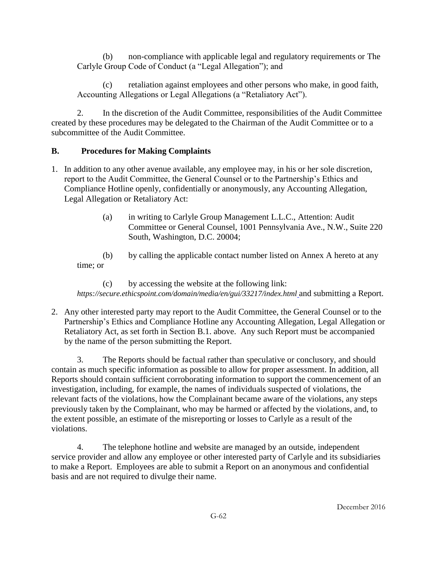(b) non-compliance with applicable legal and regulatory requirements or The Carlyle Group Code of Conduct (a "Legal Allegation"); and

(c) retaliation against employees and other persons who make, in good faith, Accounting Allegations or Legal Allegations (a "Retaliatory Act").

2. In the discretion of the Audit Committee, responsibilities of the Audit Committee created by these procedures may be delegated to the Chairman of the Audit Committee or to a subcommittee of the Audit Committee.

# **B. Procedures for Making Complaints**

- 1. In addition to any other avenue available, any employee may, in his or her sole discretion, report to the Audit Committee, the General Counsel or to the Partnership's Ethics and Compliance Hotline openly, confidentially or anonymously, any Accounting Allegation, Legal Allegation or Retaliatory Act:
	- (a) in writing to Carlyle Group Management L.L.C., Attention: Audit Committee or General Counsel, 1001 Pennsylvania Ave., N.W., Suite 220 South, Washington, D.C. 20004;

(b) by calling the applicable contact number listed on Annex A hereto at any time; or

(c) by accessing the website at the following link: *https://secure.ethicspoint.com/domain/media/en/gui/33217/index.html* and submitting a Report.

2. Any other interested party may report to the Audit Committee, the General Counsel or to the Partnership's Ethics and Compliance Hotline any Accounting Allegation, Legal Allegation or Retaliatory Act, as set forth in Section B.1. above. Any such Report must be accompanied by the name of the person submitting the Report.

3. The Reports should be factual rather than speculative or conclusory, and should contain as much specific information as possible to allow for proper assessment. In addition, all Reports should contain sufficient corroborating information to support the commencement of an investigation, including, for example, the names of individuals suspected of violations, the relevant facts of the violations, how the Complainant became aware of the violations, any steps previously taken by the Complainant, who may be harmed or affected by the violations, and, to the extent possible, an estimate of the misreporting or losses to Carlyle as a result of the violations.

4. The telephone hotline and website are managed by an outside, independent service provider and allow any employee or other interested party of Carlyle and its subsidiaries to make a Report. Employees are able to submit a Report on an anonymous and confidential basis and are not required to divulge their name.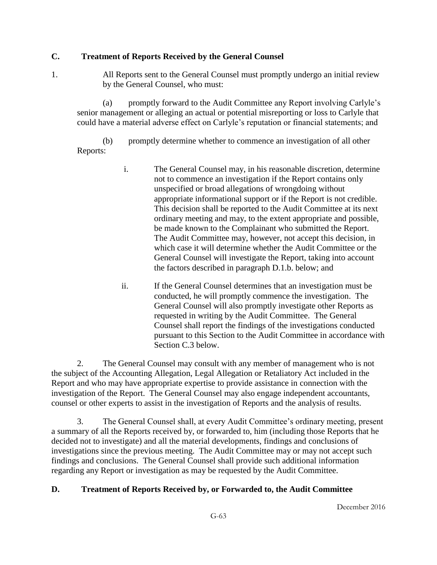## **C. Treatment of Reports Received by the General Counsel**

1. All Reports sent to the General Counsel must promptly undergo an initial review by the General Counsel, who must:

(a) promptly forward to the Audit Committee any Report involving Carlyle's senior management or alleging an actual or potential misreporting or loss to Carlyle that could have a material adverse effect on Carlyle's reputation or financial statements; and

(b) promptly determine whether to commence an investigation of all other Reports:

- i. The General Counsel may, in his reasonable discretion, determine not to commence an investigation if the Report contains only unspecified or broad allegations of wrongdoing without appropriate informational support or if the Report is not credible. This decision shall be reported to the Audit Committee at its next ordinary meeting and may, to the extent appropriate and possible, be made known to the Complainant who submitted the Report. The Audit Committee may, however, not accept this decision, in which case it will determine whether the Audit Committee or the General Counsel will investigate the Report, taking into account the factors described in paragraph D.1.b. below; and
- ii. If the General Counsel determines that an investigation must be conducted, he will promptly commence the investigation. The General Counsel will also promptly investigate other Reports as requested in writing by the Audit Committee. The General Counsel shall report the findings of the investigations conducted pursuant to this Section to the Audit Committee in accordance with Section C.3 below.

2. The General Counsel may consult with any member of management who is not the subject of the Accounting Allegation, Legal Allegation or Retaliatory Act included in the Report and who may have appropriate expertise to provide assistance in connection with the investigation of the Report. The General Counsel may also engage independent accountants, counsel or other experts to assist in the investigation of Reports and the analysis of results.

3. The General Counsel shall, at every Audit Committee's ordinary meeting, present a summary of all the Reports received by, or forwarded to, him (including those Reports that he decided not to investigate) and all the material developments, findings and conclusions of investigations since the previous meeting. The Audit Committee may or may not accept such findings and conclusions. The General Counsel shall provide such additional information regarding any Report or investigation as may be requested by the Audit Committee.

# **D. Treatment of Reports Received by, or Forwarded to, the Audit Committee**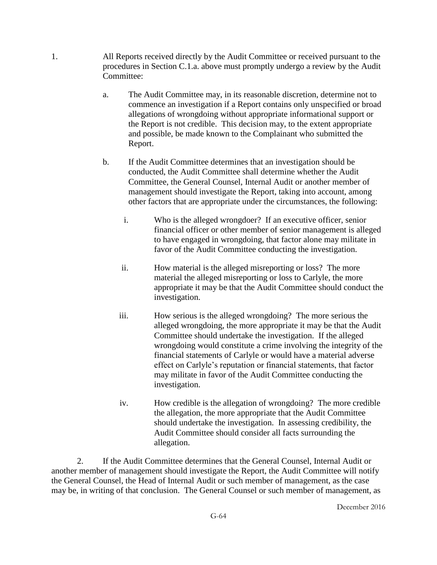- 1. All Reports received directly by the Audit Committee or received pursuant to the procedures in Section C.1.a. above must promptly undergo a review by the Audit Committee:
	- a. The Audit Committee may, in its reasonable discretion, determine not to commence an investigation if a Report contains only unspecified or broad allegations of wrongdoing without appropriate informational support or the Report is not credible. This decision may, to the extent appropriate and possible, be made known to the Complainant who submitted the Report.
	- b. If the Audit Committee determines that an investigation should be conducted, the Audit Committee shall determine whether the Audit Committee, the General Counsel, Internal Audit or another member of management should investigate the Report, taking into account, among other factors that are appropriate under the circumstances, the following:
		- i. Who is the alleged wrongdoer? If an executive officer, senior financial officer or other member of senior management is alleged to have engaged in wrongdoing, that factor alone may militate in favor of the Audit Committee conducting the investigation.
		- ii. How material is the alleged misreporting or loss? The more material the alleged misreporting or loss to Carlyle, the more appropriate it may be that the Audit Committee should conduct the investigation.
		- iii. How serious is the alleged wrongdoing? The more serious the alleged wrongdoing, the more appropriate it may be that the Audit Committee should undertake the investigation. If the alleged wrongdoing would constitute a crime involving the integrity of the financial statements of Carlyle or would have a material adverse effect on Carlyle's reputation or financial statements, that factor may militate in favor of the Audit Committee conducting the investigation.
		- iv. How credible is the allegation of wrongdoing? The more credible the allegation, the more appropriate that the Audit Committee should undertake the investigation. In assessing credibility, the Audit Committee should consider all facts surrounding the allegation.

2. If the Audit Committee determines that the General Counsel, Internal Audit or another member of management should investigate the Report, the Audit Committee will notify the General Counsel, the Head of Internal Audit or such member of management, as the case may be, in writing of that conclusion. The General Counsel or such member of management, as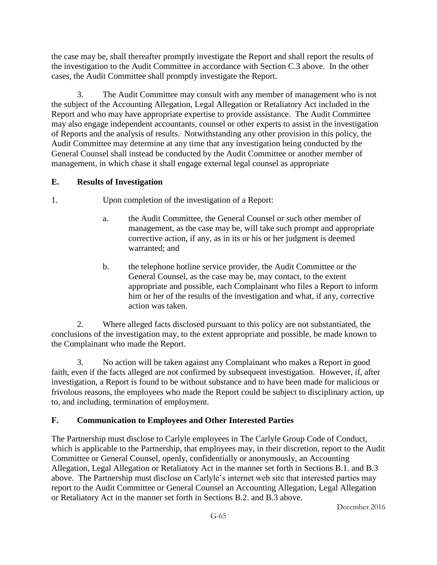the case may be, shall thereafter promptly investigate the Report and shall report the results of the investigation to the Audit Committee in accordance with Section C.3 above. In the other cases, the Audit Committee shall promptly investigate the Report.

3. The Audit Committee may consult with any member of management who is not the subject of the Accounting Allegation, Legal Allegation or Retaliatory Act included in the Report and who may have appropriate expertise to provide assistance. The Audit Committee may also engage independent accountants, counsel or other experts to assist in the investigation of Reports and the analysis of results. Notwithstanding any other provision in this policy, the Audit Committee may determine at any time that any investigation being conducted by the General Counsel shall instead be conducted by the Audit Committee or another member of management, in which chase it shall engage external legal counsel as appropriate

# **E. Results of Investigation**

1. Upon completion of the investigation of a Report:

- a. the Audit Committee, the General Counsel or such other member of management, as the case may be, will take such prompt and appropriate corrective action, if any, as in its or his or her judgment is deemed warranted; and
- b. the telephone hotline service provider, the Audit Committee or the General Counsel, as the case may be, may contact, to the extent appropriate and possible, each Complainant who files a Report to inform him or her of the results of the investigation and what, if any, corrective action was taken.

2. Where alleged facts disclosed pursuant to this policy are not substantiated, the conclusions of the investigation may, to the extent appropriate and possible, be made known to the Complainant who made the Report.

3. No action will be taken against any Complainant who makes a Report in good faith, even if the facts alleged are not confirmed by subsequent investigation. However, if, after investigation, a Report is found to be without substance and to have been made for malicious or frivolous reasons, the employees who made the Report could be subject to disciplinary action, up to, and including, termination of employment.

# **F. Communication to Employees and Other Interested Parties**

The Partnership must disclose to Carlyle employees in The Carlyle Group Code of Conduct, which is applicable to the Partnership, that employees may, in their discretion, report to the Audit Committee or General Counsel, openly, confidentially or anonymously, an Accounting Allegation, Legal Allegation or Retaliatory Act in the manner set forth in Sections B.1. and B.3 above. The Partnership must disclose on Carlyle's internet web site that interested parties may report to the Audit Committee or General Counsel an Accounting Allegation, Legal Allegation or Retaliatory Act in the manner set forth in Sections B.2. and B.3 above.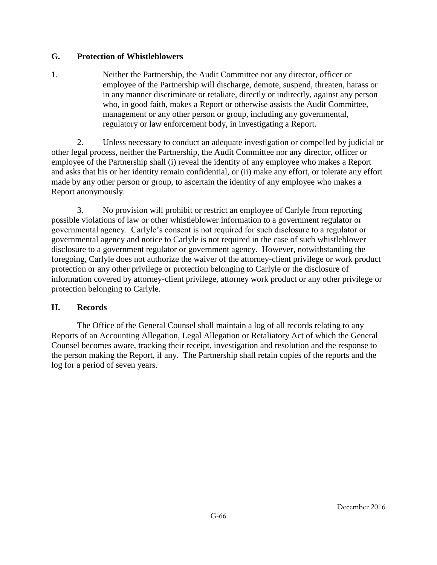## **G. Protection of Whistleblowers**

1. Neither the Partnership, the Audit Committee nor any director, officer or employee of the Partnership will discharge, demote, suspend, threaten, harass or in any manner discriminate or retaliate, directly or indirectly, against any person who, in good faith, makes a Report or otherwise assists the Audit Committee, management or any other person or group, including any governmental, regulatory or law enforcement body, in investigating a Report.

2. Unless necessary to conduct an adequate investigation or compelled by judicial or other legal process, neither the Partnership, the Audit Committee nor any director, officer or employee of the Partnership shall (i) reveal the identity of any employee who makes a Report and asks that his or her identity remain confidential, or (ii) make any effort, or tolerate any effort made by any other person or group, to ascertain the identity of any employee who makes a Report anonymously.

3. No provision will prohibit or restrict an employee of Carlyle from reporting possible violations of law or other whistleblower information to a government regulator or governmental agency. Carlyle's consent is not required for such disclosure to a regulator or governmental agency and notice to Carlyle is not required in the case of such whistleblower disclosure to a government regulator or government agency. However, notwithstanding the foregoing, Carlyle does not authorize the waiver of the attorney-client privilege or work product protection or any other privilege or protection belonging to Carlyle or the disclosure of information covered by attorney-client privilege, attorney work product or any other privilege or protection belonging to Carlyle.

## **H. Records**

The Office of the General Counsel shall maintain a log of all records relating to any Reports of an Accounting Allegation, Legal Allegation or Retaliatory Act of which the General Counsel becomes aware, tracking their receipt, investigation and resolution and the response to the person making the Report, if any. The Partnership shall retain copies of the reports and the log for a period of seven years.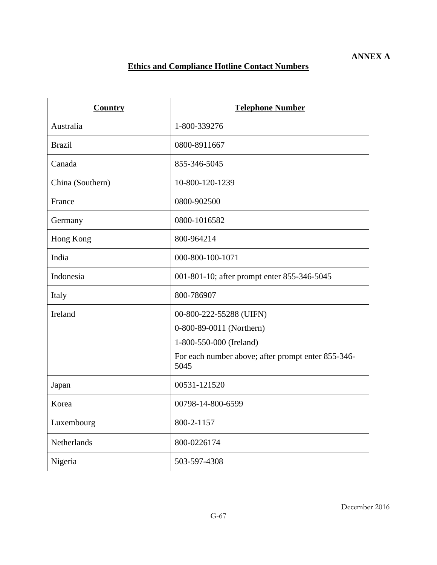# **Ethics and Compliance Hotline Contact Numbers**

| <b>Country</b>   | <b>Telephone Number</b>                                    |
|------------------|------------------------------------------------------------|
| Australia        | 1-800-339276                                               |
| <b>Brazil</b>    | 0800-8911667                                               |
| Canada           | 855-346-5045                                               |
| China (Southern) | 10-800-120-1239                                            |
| France           | 0800-902500                                                |
| Germany          | 0800-1016582                                               |
| Hong Kong        | 800-964214                                                 |
| India            | 000-800-100-1071                                           |
| Indonesia        | 001-801-10; after prompt enter 855-346-5045                |
| Italy            | 800-786907                                                 |
| Ireland          | 00-800-222-55288 (UIFN)                                    |
|                  | 0-800-89-0011 (Northern)                                   |
|                  | 1-800-550-000 (Ireland)                                    |
|                  | For each number above; after prompt enter 855-346-<br>5045 |
| Japan            | 00531-121520                                               |
| Korea            | 00798-14-800-6599                                          |
| Luxembourg       | 800-2-1157                                                 |
| Netherlands      | 800-0226174                                                |
| Nigeria          | 503-597-4308                                               |